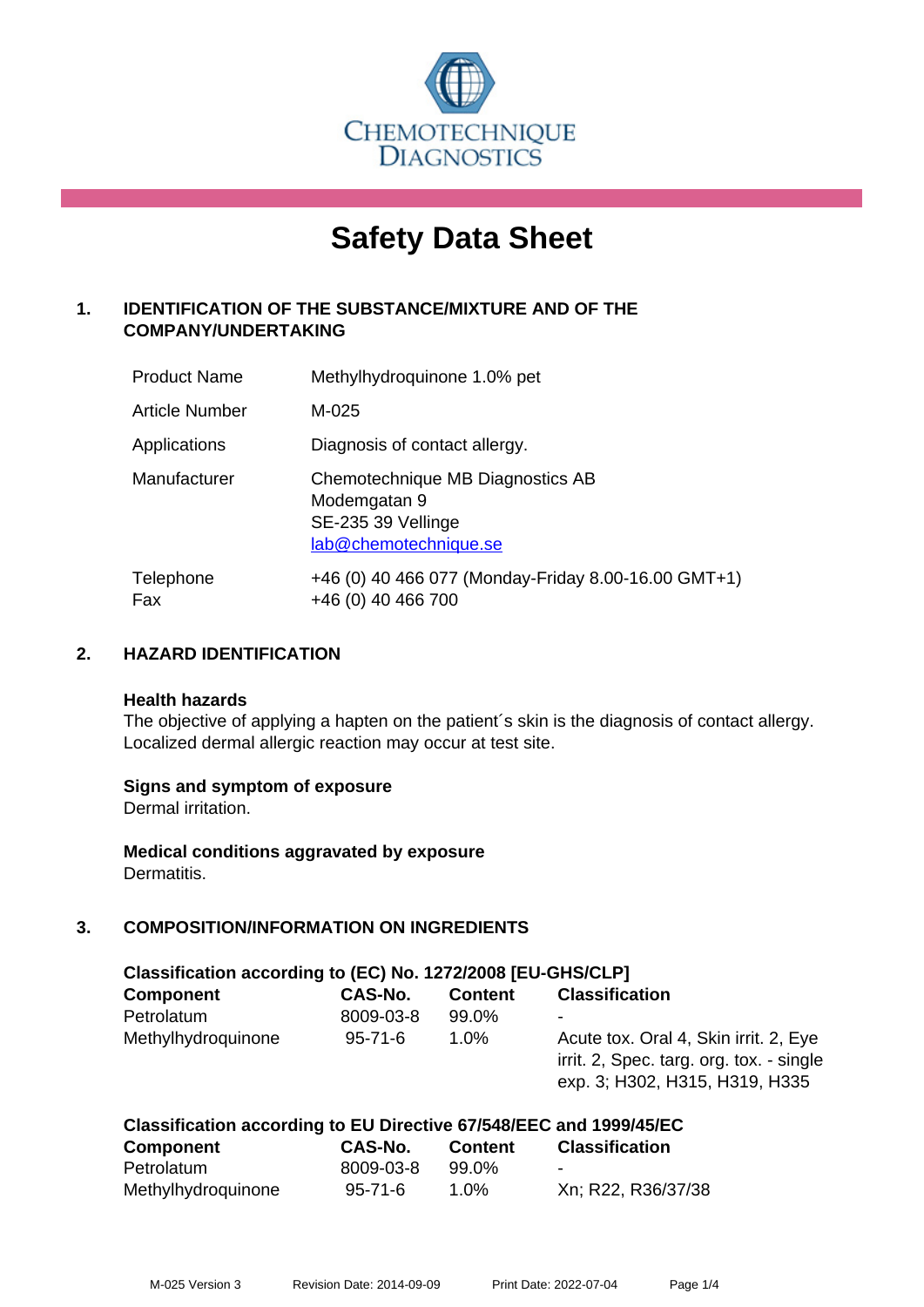

# **Safety Data Sheet**

# **1. IDENTIFICATION OF THE SUBSTANCE/MIXTURE AND OF THE COMPANY/UNDERTAKING**

| <b>Product Name</b> | Methylhydroquinone 1.0% pet                                                                     |
|---------------------|-------------------------------------------------------------------------------------------------|
| Article Number      | M-025                                                                                           |
| Applications        | Diagnosis of contact allergy.                                                                   |
| Manufacturer        | Chemotechnique MB Diagnostics AB<br>Modemgatan 9<br>SE-235 39 Vellinge<br>lab@chemotechnique.se |
| Telephone<br>Fax    | +46 (0) 40 466 077 (Monday-Friday 8.00-16.00 GMT+1)<br>+46 (0) 40 466 700                       |

## **2. HAZARD IDENTIFICATION**

#### **Health hazards**

The objective of applying a hapten on the patient's skin is the diagnosis of contact allergy. Localized dermal allergic reaction may occur at test site.

## **Signs and symptom of exposure**

Dermal irritation.

**Medical conditions aggravated by exposure** Dermatitis.

# **3. COMPOSITION/INFORMATION ON INGREDIENTS**

| Classification according to (EC) No. 1272/2008 [EU-GHS/CLP] |               |                |                                                                                                                     |  |  |
|-------------------------------------------------------------|---------------|----------------|---------------------------------------------------------------------------------------------------------------------|--|--|
| <b>Component</b>                                            | CAS-No.       | <b>Content</b> | <b>Classification</b>                                                                                               |  |  |
| Petrolatum                                                  | 8009-03-8     | 99.0%          | ٠                                                                                                                   |  |  |
| Methylhydroquinone                                          | $95 - 71 - 6$ | 1.0%           | Acute tox. Oral 4, Skin irrit. 2, Eye<br>irrit. 2, Spec. targ. org. tox. - single<br>exp. 3; H302, H315, H319, H335 |  |  |

| Classification according to EU Directive 67/548/EEC and 1999/45/EC |               |                |                       |  |  |
|--------------------------------------------------------------------|---------------|----------------|-----------------------|--|--|
| <b>Component</b>                                                   | CAS-No.       | <b>Content</b> | <b>Classification</b> |  |  |
| Petrolatum                                                         | 8009-03-8     | 99.0%          | $\blacksquare$        |  |  |
| Methylhydroquinone                                                 | $95 - 71 - 6$ | $1.0\%$        | Xn; R22, R36/37/38    |  |  |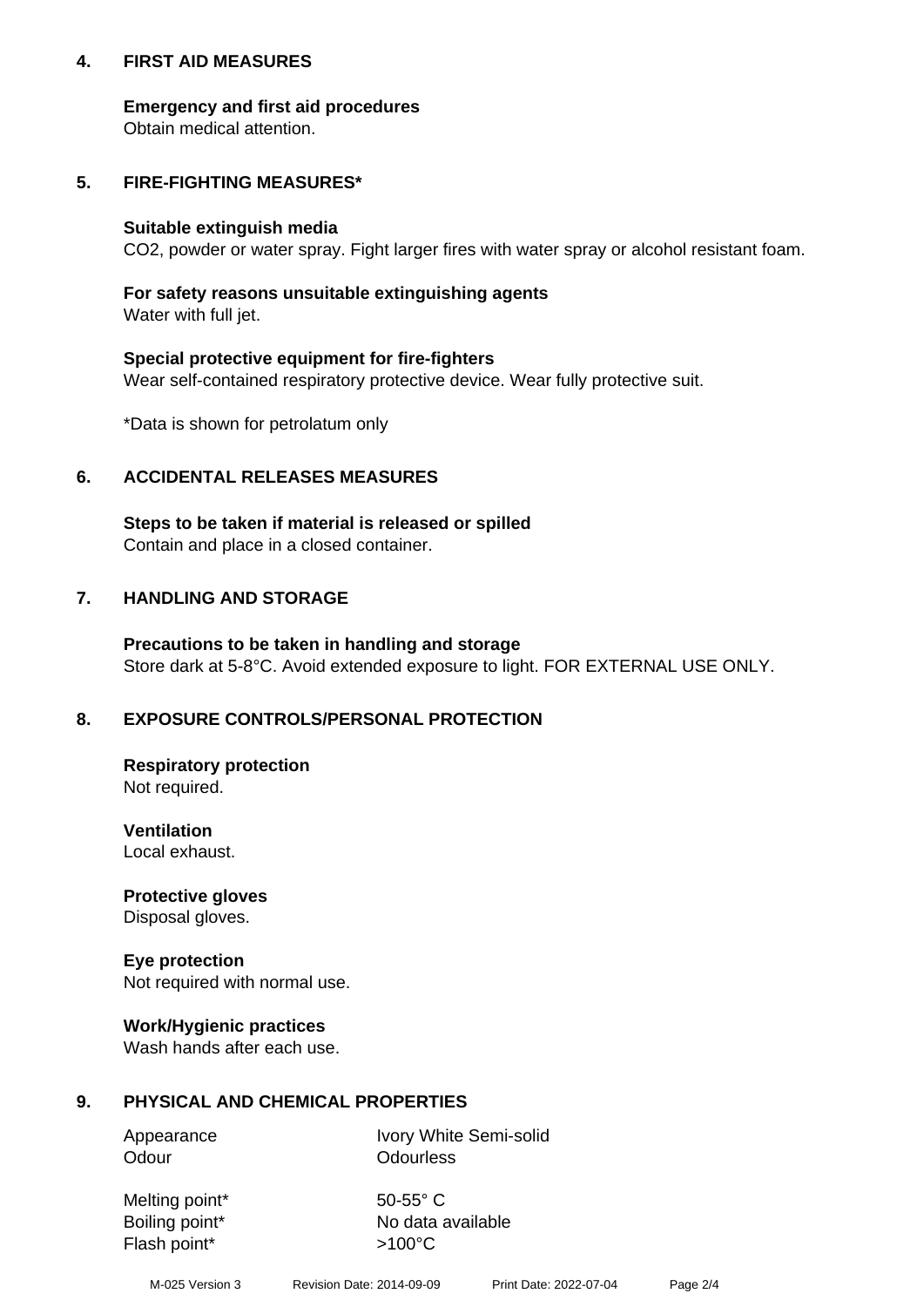## **4. FIRST AID MEASURES**

## **Emergency and first aid procedures**

Obtain medical attention.

# **5. FIRE-FIGHTING MEASURES\***

#### **Suitable extinguish media**

CO2, powder or water spray. Fight larger fires with water spray or alcohol resistant foam.

# **For safety reasons unsuitable extinguishing agents**

Water with full jet.

## **Special protective equipment for fire-fighters**

Wear self-contained respiratory protective device. Wear fully protective suit.

\*Data is shown for petrolatum only

## **6. ACCIDENTAL RELEASES MEASURES**

**Steps to be taken if material is released or spilled** Contain and place in a closed container.

# **7. HANDLING AND STORAGE**

**Precautions to be taken in handling and storage** Store dark at 5-8°C. Avoid extended exposure to light. FOR EXTERNAL USE ONLY.

# **8. EXPOSURE CONTROLS/PERSONAL PROTECTION**

**Respiratory protection** Not required.

**Ventilation** Local exhaust.

**Protective gloves** Disposal gloves.

#### **Eye protection** Not required with normal use.

## **Work/Hygienic practices**

Wash hands after each use.

## **9. PHYSICAL AND CHEMICAL PROPERTIES**

Odour **Odourless** 

Appearance Ivory White Semi-solid

Melting point\* 50-55° C Flash point\*  $>100^{\circ}$ C

Boiling point\* No data available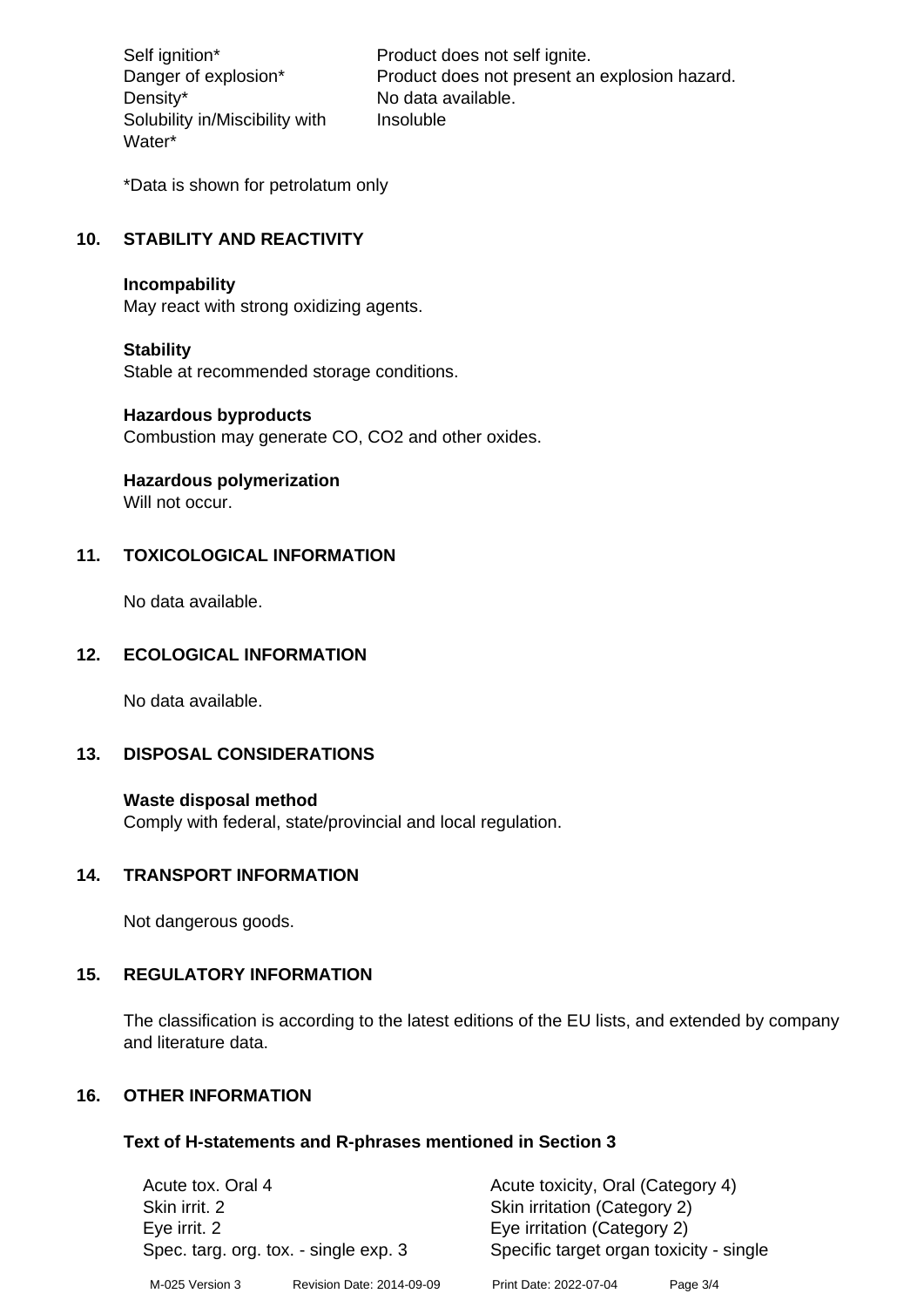Density\* No data available. Solubility in/Miscibility with Water\*

Self ignition\* Product does not self ignite. Danger of explosion\* Product does not present an explosion hazard. Insoluble

\*Data is shown for petrolatum only

# **10. STABILITY AND REACTIVITY**

#### **Incompability**

May react with strong oxidizing agents.

#### **Stability**

Stable at recommended storage conditions.

#### **Hazardous byproducts**

Combustion may generate CO, CO2 and other oxides.

**Hazardous polymerization**

Will not occur.

## **11. TOXICOLOGICAL INFORMATION**

No data available.

## **12. ECOLOGICAL INFORMATION**

No data available.

## **13. DISPOSAL CONSIDERATIONS**

#### **Waste disposal method**

Comply with federal, state/provincial and local regulation.

#### **14. TRANSPORT INFORMATION**

Not dangerous goods.

## **15. REGULATORY INFORMATION**

The classification is according to the latest editions of the EU lists, and extended by company and literature data.

#### **16. OTHER INFORMATION**

#### **Text of H-statements and R-phrases mentioned in Section 3**

| Acute tox. Oral 4                     |                           | Acute toxicity, Oral (Category 4)       |          |  |
|---------------------------------------|---------------------------|-----------------------------------------|----------|--|
| Skin irrit. 2                         |                           | Skin irritation (Category 2)            |          |  |
| Eye irrit. 2                          |                           | Eye irritation (Category 2)             |          |  |
| Spec. targ. org. tox. - single exp. 3 |                           | Specific target organ toxicity - single |          |  |
| M-025 Version 3                       | Revision Date: 2014-09-09 | Print Date: 2022-07-04                  | Page 3/4 |  |